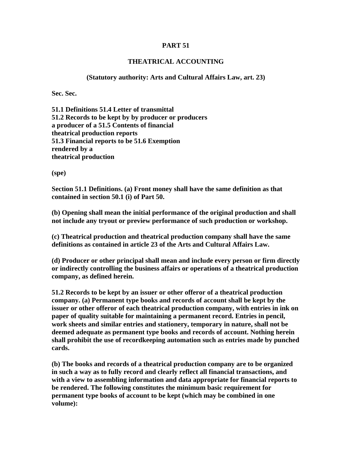## **PART 51**

## **THEATRICAL ACCOUNTING**

## **(Statutory authority: Arts and Cultural Affairs Law, art. 23)**

**Sec. Sec.** 

**51.1 Definitions 51.4 Letter of transmittal 51.2 Records to be kept by by producer or producers a producer of a 51.5 Contents of financial theatrical production reports 51.3 Financial reports to be 51.6 Exemption rendered by a theatrical production** 

**(spe)** 

**Section 51.1 Definitions. (a) Front money shall have the same definition as that contained in section 50.1 (i) of Part 50.** 

**(b) Opening shall mean the initial performance of the original production and shall not include any tryout or preview performance of such production or workshop.** 

**(c) Theatrical production and theatrical production company shall have the same definitions as contained in article 23 of the Arts and Cultural Affairs Law.** 

**(d) Producer or other principal shall mean and include every person or firm directly or indirectly controlling the business affairs or operations of a theatrical production company, as defined herein.** 

**51.2 Records to be kept by an issuer or other offeror of a theatrical production company. (a) Permanent type books and records of account shall be kept by the issuer or other offeror of each theatrical production company, with entries in ink on paper of quality suitable for maintaining a permanent record. Entries in pencil, work sheets and similar entries and stationery, temporary in nature, shall not be deemed adequate as permanent type books and records of account. Nothing herein shall prohibit the use of recordkeeping automation such as entries made by punched cards.** 

**(b) The books and records of a theatrical production company are to be organized in such a way as to fully record and clearly reflect all financial transactions, and with a view to assembling information and data appropriate for financial reports to be rendered. The following constitutes the minimum basic requirement for permanent type books of account to be kept (which may be combined in one volume):**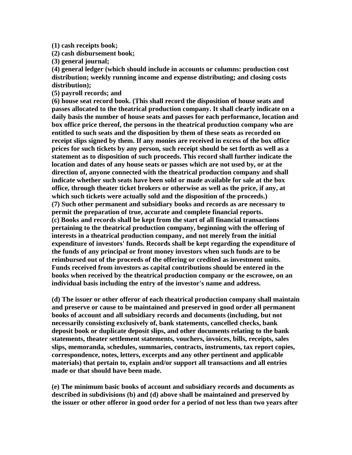**(1) cash receipts book;** 

**(2) cash disbursement book;** 

**(3) general journal;** 

**(4) general ledger (which should include in accounts or columns: production cost distribution; weekly running income and expense distributing; and closing costs distribution);** 

**(5) payroll records; and** 

**(6) house seat record book. (This shall record the disposition of house seats and passes allocated to the theatrical production company. It shall clearly indicate on a daily basis the number of house seats and passes for each performance, location and box office price thereof, the persons in the theatrical production company who are entitled to such seats and the disposition by them of these seats as recorded on receipt slips signed by them. If any monies are received in excess of the box office prices for such tickets by any person, such receipt should be set forth as well as a statement as to disposition of such proceeds. This record shall further indicate the location and dates of any house seats or passes which are not used by, or at the direction of, anyone connected with the theatrical production company and shall indicate whether such seats have been sold or made available for sale at the box office, through theater ticket brokers or otherwise as well as the price, if any, at which such tickets were actually sold and the disposition of the proceeds.) (7) Such other permanent and subsidiary books and records as are necessary to permit the preparation of true, accurate and complete financial reports. (c) Books and records shall be kept from the start of all financial transactions pertaining to the theatrical production company, beginning with the offering of interests in a theatrical production company, and not merely from the initial expenditure of investors' funds. Records shall be kept regarding the expenditure of the funds of any principal or front money investors when such funds are to be reimbursed out of the proceeds of the offering or credited as investment units. Funds received from investors as capital contributions should be entered in the books when received by the theatrical production company or the escrowee, on an individual basis including the entry of the investor's name and address.** 

**(d) The issuer or other offeror of each theatrical production company shall maintain and preserve or cause to be maintained and preserved in good order all permanent books of account and all subsidiary records and documents (including, but not necessarily consisting exclusively of, bank statements, cancelled checks, bank deposit book or duplicate deposit slips, and other documents relating to the bank statements, theater settlement statements, vouchers, invoices, bills, receipts, sales slips, memoranda, schedules, summaries, contracts, instruments, tax report copies, correspondence, notes, letters, excerpts and any other pertinent and applicable materials) that pertain to, explain and/or support all transactions and all entries made or that should have been made.** 

**(e) The minimum basic books of account and subsidiary records and documents as described in subdivisions (b) and (d) above shall be maintained and preserved by the issuer or other offeror in good order for a period of not less than two years after**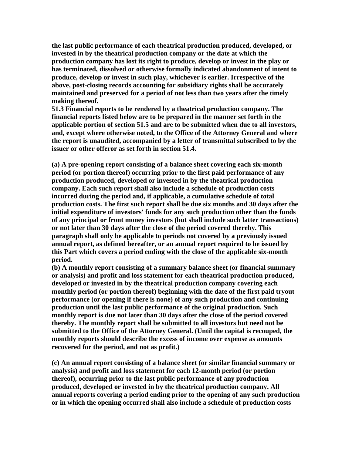**the last public performance of each theatrical production produced, developed, or invested in by the theatrical production company or the date at which the production company has lost its right to produce, develop or invest in the play or has terminated, dissolved or otherwise formally indicated abandonment of intent to produce, develop or invest in such play, whichever is earlier. Irrespective of the above, post-closing records accounting for subsidiary rights shall be accurately maintained and preserved for a period of not less than two years after the timely making thereof.** 

**51.3 Financial reports to be rendered by a theatrical production company. The financial reports listed below are to be prepared in the manner set forth in the applicable portion of section 51.5 and are to be submitted when due to all investors, and, except where otherwise noted, to the Office of the Attorney General and where the report is unaudited, accompanied by a letter of transmittal subscribed to by the issuer or other offeror as set forth in section 51.4.** 

**(a) A pre-opening report consisting of a balance sheet covering each six-month period (or portion thereof) occurring prior to the first paid performance of any production produced, developed or invested in by the theatrical production company. Each such report shall also include a schedule of production costs incurred during the period and, if applicable, a cumulative schedule of total production costs. The first such report shall be due six months and 30 days after the initial expenditure of investors' funds for any such production other than the funds of any principal or front money investors (but shall include such latter transactions) or not later than 30 days after the close of the period covered thereby. This paragraph shall only be applicable to periods not covered by a previously issued annual report, as defined hereafter, or an annual report required to be issued by this Part which covers a period ending with the close of the applicable six-month period.** 

**(b) A monthly report consisting of a summary balance sheet (or financial summary or analysis) and profit and loss statement for each theatrical production produced, developed or invested in by the theatrical production company covering each monthly period (or portion thereof) beginning with the date of the first paid tryout performance (or opening if there is none) of any such production and continuing production until the last public performance of the original production. Such monthly report is due not later than 30 days after the close of the period covered thereby. The monthly report shall be submitted to all investors but need not be submitted to the Office of the Attorney General. (Until the capital is recouped, the monthly reports should describe the excess of income over expense as amounts recovered for the period, and not as profit.)** 

**(c) An annual report consisting of a balance sheet (or similar financial summary or analysis) and profit and loss statement for each 12-month period (or portion thereof), occurring prior to the last public performance of any production produced, developed or invested in by the theatrical production company. All annual reports covering a period ending prior to the opening of any such production or in which the opening occurred shall also include a schedule of production costs**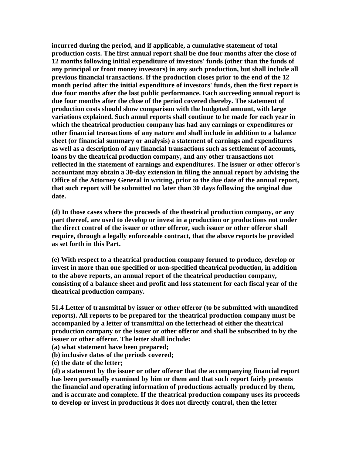**incurred during the period, and if applicable, a cumulative statement of total production costs. The first annual report shall be due four months after the close of 12 months following initial expenditure of investors' funds (other than the funds of any principal or front money investors) in any such production, but shall include all previous financial transactions. If the production closes prior to the end of the 12 month period after the initial expenditure of investors' funds, then the first report is due four months after the last public performance. Each succeeding annual report is due four months after the close of the period covered thereby. The statement of production costs should show comparison with the budgeted amount, with large variations explained. Such annul reports shall continue to be made for each year in which the theatrical production company has had any earnings or expenditures or other financial transactions of any nature and shall include in addition to a balance sheet (or financial summary or analysis) a statement of earnings and expenditures as well as a description of any financial transactions such as settlement of accounts, loans by the theatrical production company, and any other transactions not reflected in the statement of earnings and expenditures. The issuer or other offeror's accountant may obtain a 30-day extension in filing the annual report by advising the Office of the Attorney General in writing, prior to the due date of the annual report, that such report will be submitted no later than 30 days following the original due date.** 

**(d) In those cases where the proceeds of the theatrical production company, or any part thereof, are used to develop or invest in a production or productions not under the direct control of the issuer or other offeror, such issuer or other offeror shall require, through a legally enforceable contract, that the above reports be provided as set forth in this Part.** 

**(e) With respect to a theatrical production company formed to produce, develop or invest in more than one specified or non-specified theatrical production, in addition to the above reports, an annual report of the theatrical production company, consisting of a balance sheet and profit and loss statement for each fiscal year of the theatrical production company.** 

**51.4 Letter of transmittal by issuer or other offeror (to be submitted with unaudited reports). All reports to be prepared for the theatrical production company must be accompanied by a letter of transmittal on the letterhead of either the theatrical production company or the issuer or other offeror and shall be subscribed to by the issuer or other offeror. The letter shall include:** 

**(a) what statement have been prepared;** 

**(b) inclusive dates of the periods covered;** 

**(c) the date of the letter;** 

**(d) a statement by the issuer or other offeror that the accompanying financial report has been personally examined by him or them and that such report fairly presents the financial and operating information of productions actually produced by them, and is accurate and complete. If the theatrical production company uses its proceeds to develop or invest in productions it does not directly control, then the letter**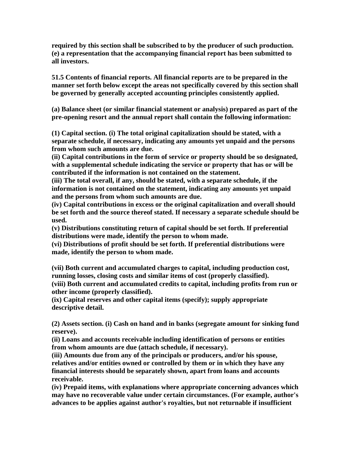**required by this section shall be subscribed to by the producer of such production. (e) a representation that the accompanying financial report has been submitted to all investors.** 

**51.5 Contents of financial reports. All financial reports are to be prepared in the manner set forth below except the areas not specifically covered by this section shall be governed by generally accepted accounting principles consistently applied.** 

**(a) Balance sheet (or similar financial statement or analysis) prepared as part of the pre-opening resort and the annual report shall contain the following information:** 

**(1) Capital section. (i) The total original capitalization should be stated, with a separate schedule, if necessary, indicating any amounts yet unpaid and the persons from whom such amounts are due.** 

**(ii) Capital contributions in the form of service or property should be so designated, with a supplemental schedule indicating the service or property that has or will be contributed if the information is not contained on the statement.** 

**(iii) The total overall, if any, should be stated, with a separate schedule, if the information is not contained on the statement, indicating any amounts yet unpaid and the persons from whom such amounts are due.** 

**(iv) Capital contributions in excess or the original capitalization and overall should be set forth and the source thereof stated. If necessary a separate schedule should be used.** 

**(v) Distributions constituting return of capital should be set forth. If preferential distributions were made, identify the person to whom made.** 

**(vi) Distributions of profit should be set forth. If preferential distributions were made, identify the person to whom made.** 

**(vii) Both current and accumulated charges to capital, including production cost, running losses, closing costs and similar items of cost (properly classified). (viii) Both current and accumulated credits to capital, including profits from run or other income (properly classified).** 

**(ix) Capital reserves and other capital items (specify); supply appropriate descriptive detail.** 

**(2) Assets section. (i) Cash on hand and in banks (segregate amount for sinking fund reserve).** 

**(ii) Loans and accounts receivable including identification of persons or entities from whom amounts are due (attach schedule, if necessary).** 

**(iii) Amounts due from any of the principals or producers, and/or his spouse, relatives and/or entities owned or controlled by them or in which they have any financial interests should be separately shown, apart from loans and accounts receivable.** 

**(iv) Prepaid items, with explanations where appropriate concerning advances which may have no recoverable value under certain circumstances. (For example, author's advances to be applies against author's royalties, but not returnable if insufficient**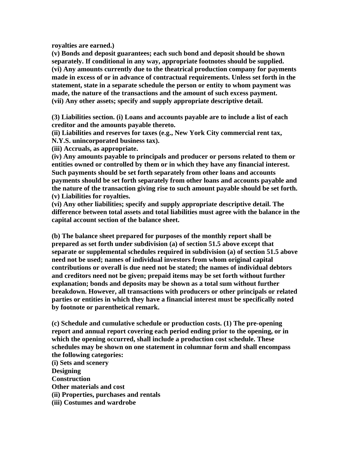**royalties are earned.)** 

**(v) Bonds and deposit guarantees; each such bond and deposit should be shown separately. If conditional in any way, appropriate footnotes should be supplied. (vi) Any amounts currently due to the theatrical production company for payments made in excess of or in advance of contractual requirements. Unless set forth in the statement, state in a separate schedule the person or entity to whom payment was made, the nature of the transactions and the amount of such excess payment. (vii) Any other assets; specify and supply appropriate descriptive detail.** 

**(3) Liabilities section. (i) Loans and accounts payable are to include a list of each creditor and the amounts payable thereto.** 

**(ii) Liabilities and reserves for taxes (e.g., New York City commercial rent tax, N.Y.S. unincorporated business tax).** 

**(iii) Accruals, as appropriate.** 

**(iv) Any amounts payable to principals and producer or persons related to them or entities owned or controlled by them or in which they have any financial interest. Such payments should be set forth separately from other loans and accounts payments should be set forth separately from other loans and accounts payable and the nature of the transaction giving rise to such amount payable should be set forth. (v) Liabilities for royalties.** 

**(vi) Any other liabilities; specify and supply appropriate descriptive detail. The difference between total assets and total liabilities must agree with the balance in the capital account section of the balance sheet.** 

**(b) The balance sheet prepared for purposes of the monthly report shall be prepared as set forth under subdivision (a) of section 51.5 above except that separate or supplemental schedules required in subdivision (a) of section 51.5 above need not be used; names of individual investors from whom original capital contributions or overall is due need not be stated; the names of individual debtors and creditors need not be given; prepaid items may be set forth without further explanation; bonds and deposits may be shown as a total sum without further breakdown. However, all transactions with producers or other principals or related parties or entities in which they have a financial interest must be specifically noted by footnote or parenthetical remark.** 

**(c) Schedule and cumulative schedule or production costs. (1) The pre-opening report and annual report covering each period ending prior to the opening, or in which the opening occurred, shall include a production cost schedule. These schedules may be shown on one statement in columnar form and shall encompass the following categories:** 

**(i) Sets and scenery Designing Construction Other materials and cost (ii) Properties, purchases and rentals (iii) Costumes and wardrobe**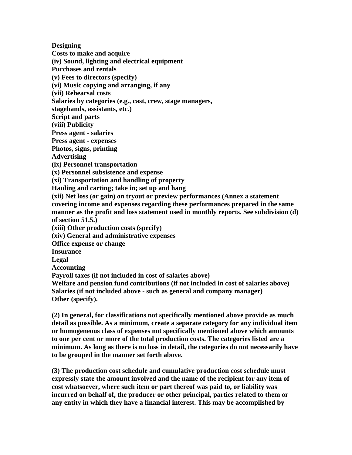**Designing Costs to make and acquire (iv) Sound, lighting and electrical equipment Purchases and rentals (v) Fees to directors (specify) (vi) Music copying and arranging, if any (vii) Rehearsal costs Salaries by categories (e.g., cast, crew, stage managers, stagehands, assistants, etc.) Script and parts (viii) Publicity Press agent - salaries Press agent - expenses Photos, signs, printing Advertising (ix) Personnel transportation (x) Personnel subsistence and expense (xi) Transportation and handling of property Hauling and carting; take in; set up and hang (xii) Net loss (or gain) on tryout or preview performances (Annex a statement covering income and expenses regarding these performances prepared in the same manner as the profit and loss statement used in monthly reports. See subdivision (d) of section 51.5.) (xiii) Other production costs (specify) (xiv) General and administrative expenses Office expense or change Insurance Legal Accounting Payroll taxes (if not included in cost of salaries above) Welfare and pension fund contributions (if not included in cost of salaries above) Salaries (if not included above - such as general and company manager) Other (specify).** 

**(2) In general, for classifications not specifically mentioned above provide as much detail as possible. As a minimum, create a separate category for any individual item or homogeneous class of expenses not specifically mentioned above which amounts to one per cent or more of the total production costs. The categories listed are a minimum. As long as there is no loss in detail, the categories do not necessarily have to be grouped in the manner set forth above.** 

**(3) The production cost schedule and cumulative production cost schedule must expressly state the amount involved and the name of the recipient for any item of cost whatsoever, where such item or part thereof was paid to, or liability was incurred on behalf of, the producer or other principal, parties related to them or any entity in which they have a financial interest. This may be accomplished by**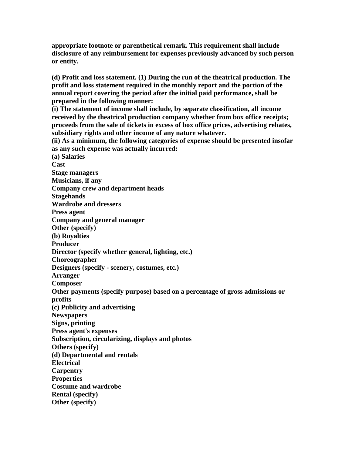**appropriate footnote or parenthetical remark. This requirement shall include disclosure of any reimbursement for expenses previously advanced by such person or entity.** 

**(d) Profit and loss statement. (1) During the run of the theatrical production. The profit and loss statement required in the monthly report and the portion of the annual report covering the period after the initial paid performance, shall be prepared in the following manner:** 

**(i) The statement of income shall include, by separate classification, all income received by the theatrical production company whether from box office receipts; proceeds from the sale of tickets in excess of box office prices, advertising rebates, subsidiary rights and other income of any nature whatever.** 

**(ii) As a minimum, the following categories of expense should be presented insofar as any such expense was actually incurred:** 

**(a) Salaries Cast Stage managers Musicians, if any Company crew and department heads Stagehands Wardrobe and dressers Press agent Company and general manager Other (specify) (b) Royalties Producer Director (specify whether general, lighting, etc.) Choreographer Designers (specify - scenery, costumes, etc.) Arranger Composer Other payments (specify purpose) based on a percentage of gross admissions or profits (c) Publicity and advertising Newspapers Signs, printing Press agent's expenses Subscription, circularizing, displays and photos Others (specify) (d) Departmental and rentals Electrical Carpentry Properties Costume and wardrobe Rental (specify) Other (specify)**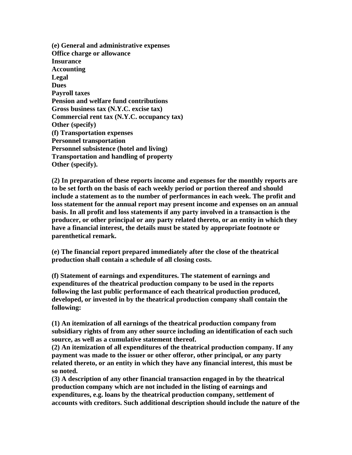**(e) General and administrative expenses Office charge or allowance Insurance Accounting Legal Dues Payroll taxes Pension and welfare fund contributions Gross business tax (N.Y.C. excise tax) Commercial rent tax (N.Y.C. occupancy tax) Other (specify) (f) Transportation expenses Personnel transportation Personnel subsistence (hotel and living) Transportation and handling of property Other (specify).** 

**(2) In preparation of these reports income and expenses for the monthly reports are to be set forth on the basis of each weekly period or portion thereof and should include a statement as to the number of performances in each week. The profit and loss statement for the annual report may present income and expenses on an annual basis. In all profit and loss statements if any party involved in a transaction is the producer, or other principal or any party related thereto, or an entity in which they have a financial interest, the details must be stated by appropriate footnote or parenthetical remark.** 

**(e) The financial report prepared immediately after the close of the theatrical production shall contain a schedule of all closing costs.** 

**(f) Statement of earnings and expenditures. The statement of earnings and expenditures of the theatrical production company to be used in the reports following the last public performance of each theatrical production produced, developed, or invested in by the theatrical production company shall contain the following:** 

**(1) An itemization of all earnings of the theatrical production company from subsidiary rights of from any other source including an identification of each such source, as well as a cumulative statement thereof.** 

**(2) An itemization of all expenditures of the theatrical production company. If any payment was made to the issuer or other offeror, other principal, or any party related thereto, or an entity in which they have any financial interest, this must be so noted.** 

**(3) A description of any other financial transaction engaged in by the theatrical production company which are not included in the listing of earnings and expenditures, e.g. loans by the theatrical production company, settlement of accounts with creditors. Such additional description should include the nature of the**